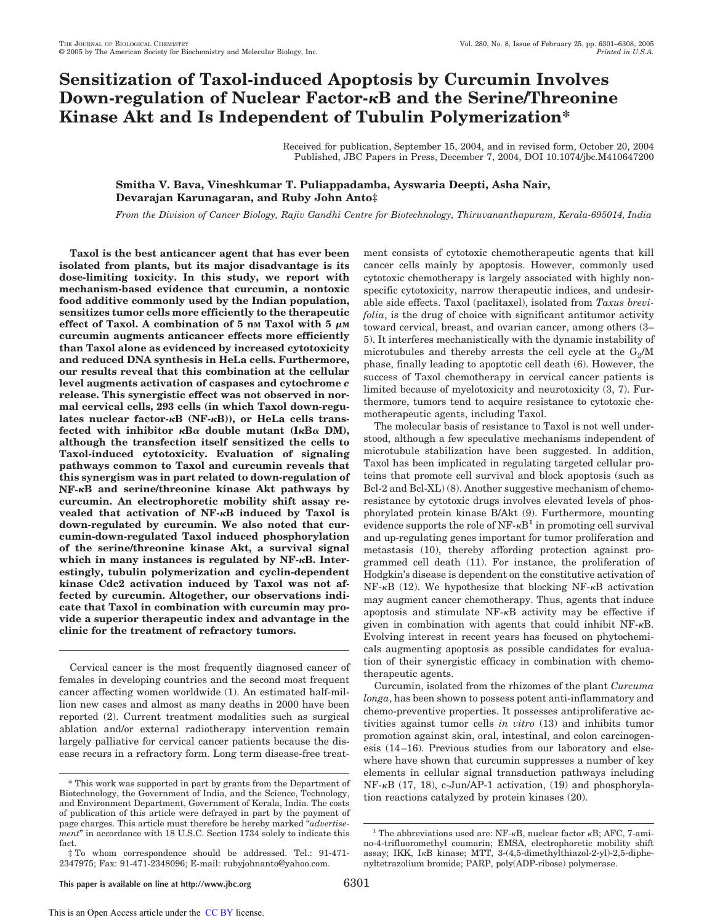# **Sensitization of Taxol-induced Apoptosis by Curcumin Involves Down-regulation of Nuclear Factor-B and the Serine/Threonine Kinase Akt and Is Independent of Tubulin Polymerization\***

Received for publication, September 15, 2004, and in revised form, October 20, 2004 Published, JBC Papers in Press, December 7, 2004, DOI 10.1074/jbc.M410647200

# **Smitha V. Bava, Vineshkumar T. Puliappadamba, Ayswaria Deepti, Asha Nair, Devarajan Karunagaran, and Ruby John Anto‡**

*From the Division of Cancer Biology, Rajiv Gandhi Centre for Biotechnology, Thiruvananthapuram, Kerala-695014, India*

**Taxol is the best anticancer agent that has ever been isolated from plants, but its major disadvantage is its dose-limiting toxicity. In this study, we report with mechanism-based evidence that curcumin, a nontoxic food additive commonly used by the Indian population, sensitizes tumor cells more efficiently to the therapeutic** effect of Taxol. A combination of  $5 \text{ nm}$  Taxol with  $5 \mu\text{m}$ **curcumin augments anticancer effects more efficiently than Taxol alone as evidenced by increased cytotoxicity and reduced DNA synthesis in HeLa cells. Furthermore, our results reveal that this combination at the cellular level augments activation of caspases and cytochrome** *c* **release. This synergistic effect was not observed in normal cervical cells, 293 cells (in which Taxol down-regu**lates nuclear factor- $\kappa$ B (NF- $\kappa$ B)), or HeLa cells transfected with inhibitor  $\kappa B\alpha$  double mutant (I $\kappa B\alpha$  DM), **although the transfection itself sensitized the cells to Taxol-induced cytotoxicity. Evaluation of signaling pathways common to Taxol and curcumin reveals that this synergism was in part related to down-regulation of NF-B and serine/threonine kinase Akt pathways by curcumin. An electrophoretic mobility shift assay revealed that activation of NF-B induced by Taxol is down-regulated by curcumin. We also noted that curcumin-down-regulated Taxol induced phosphorylation of the serine/threonine kinase Akt, a survival signal which in many instances is regulated by NF-B. Interestingly, tubulin polymerization and cyclin-dependent kinase Cdc2 activation induced by Taxol was not affected by curcumin. Altogether, our observations indicate that Taxol in combination with curcumin may provide a superior therapeutic index and advantage in the clinic for the treatment of refractory tumors.**

Cervical cancer is the most frequently diagnosed cancer of females in developing countries and the second most frequent cancer affecting women worldwide (1). An estimated half-million new cases and almost as many deaths in 2000 have been reported (2). Current treatment modalities such as surgical ablation and/or external radiotherapy intervention remain largely palliative for cervical cancer patients because the disease recurs in a refractory form. Long term disease-free treatment consists of cytotoxic chemotherapeutic agents that kill cancer cells mainly by apoptosis. However, commonly used cytotoxic chemotherapy is largely associated with highly nonspecific cytotoxicity, narrow therapeutic indices, and undesirable side effects. Taxol (paclitaxel), isolated from *Taxus brevifolia*, is the drug of choice with significant antitumor activity toward cervical, breast, and ovarian cancer, among others (3– 5). It interferes mechanistically with the dynamic instability of microtubules and thereby arrests the cell cycle at the  $G_2/M$ phase, finally leading to apoptotic cell death (6). However, the success of Taxol chemotherapy in cervical cancer patients is limited because of myelotoxicity and neurotoxicity (3, 7). Furthermore, tumors tend to acquire resistance to cytotoxic chemotherapeutic agents, including Taxol.

The molecular basis of resistance to Taxol is not well understood, although a few speculative mechanisms independent of microtubule stabilization have been suggested. In addition, Taxol has been implicated in regulating targeted cellular proteins that promote cell survival and block apoptosis (such as Bcl-2 and Bcl-XL) (8). Another suggestive mechanism of chemoresistance by cytotoxic drugs involves elevated levels of phosphorylated protein kinase B/Akt (9). Furthermore, mounting evidence supports the role of  $NF - \kappa B^1$  in promoting cell survival and up-regulating genes important for tumor proliferation and metastasis (10), thereby affording protection against programmed cell death (11). For instance, the proliferation of Hodgkin's disease is dependent on the constitutive activation of  $NF-\kappa B$  (12). We hypothesize that blocking  $NF-\kappa B$  activation may augment cancer chemotherapy. Thus, agents that induce apoptosis and stimulate  $NF-<sub>K</sub>B$  activity may be effective if given in combination with agents that could inhibit  $NF-\kappa B$ . Evolving interest in recent years has focused on phytochemicals augmenting apoptosis as possible candidates for evaluation of their synergistic efficacy in combination with chemotherapeutic agents.

Curcumin, isolated from the rhizomes of the plant *Curcuma longa*, has been shown to possess potent anti-inflammatory and chemo-preventive properties. It possesses antiproliferative activities against tumor cells *in vitro* (13) and inhibits tumor promotion against skin, oral, intestinal, and colon carcinogenesis (14–16). Previous studies from our laboratory and elsewhere have shown that curcumin suppresses a number of key elements in cellular signal transduction pathways including  $NF-\kappa B$  (17, 18), c-Jun/AP-1 activation, (19) and phosphorylation reactions catalyzed by protein kinases (20).

This is an Open Access article under the CC BY license.

<sup>\*</sup> This work was supported in part by grants from the Department of Biotechnology, the Government of India, and the Science, Technology, and Environment Department, Government of Kerala, India. The costs of publication of this article were defrayed in part by the payment of page charges. This article must therefore be hereby marked "*advertisement*" in accordance with 18 U.S.C. Section 1734 solely to indicate this fact.

<sup>‡</sup> To whom correspondence should be addressed. Tel.: 91-471- 2347975; Fax: 91-471-2348096; E-mail: rubyjohnanto@yahoo.com.

<sup>&</sup>lt;sup>1</sup> The abbreviations used are: NF- $\kappa$ B, nuclear factor  $\kappa$ B; AFC, 7-amino-4-trifluoromethyl coumarin; EMSA, electrophoretic mobility shift assay; IKK,  $I \kappa B$  kinase; MTT, 3-(4,5-dimethylthiazol-2-yl)-2,5-diphenyltetrazolium bromide; PARP, poly(ADP-ribose) polymerase.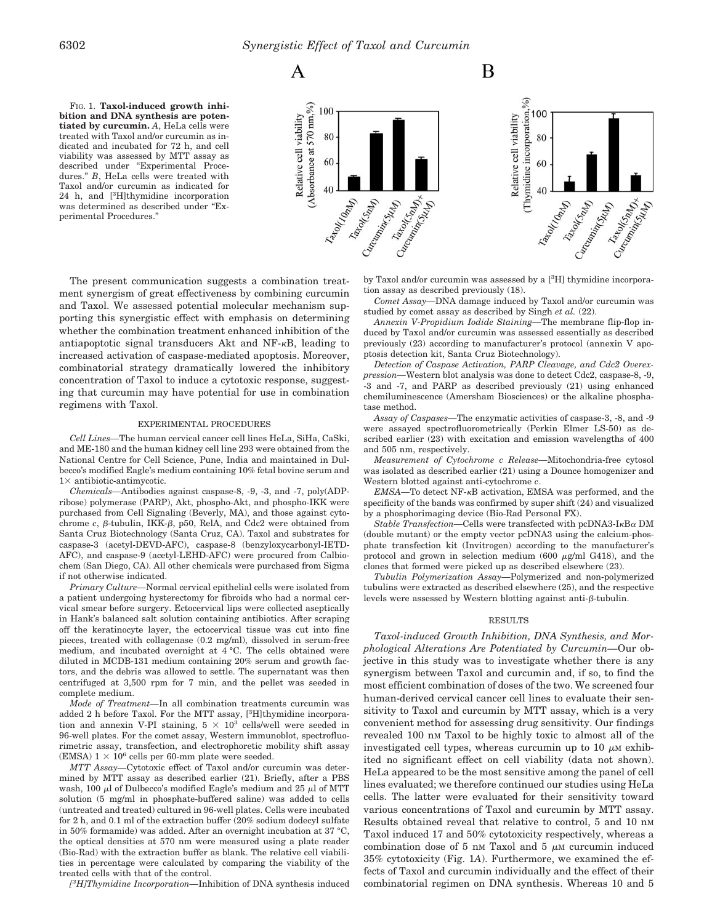

B

FIG. 1. **Taxol-induced growth inhibition and DNA synthesis are potentiated by curcumin.** *A*, HeLa cells were treated with Taxol and/or curcumin as indicated and incubated for 72 h, and cell viability was assessed by MTT assay as described under "Experimental Procedures." *B*, HeLa cells were treated with Taxol and/or curcumin as indicated for 24 h, and [3H]thymidine incorporation was determined as described under "Experimental Procedures."



The present communication suggests a combination treatment synergism of great effectiveness by combining curcumin and Taxol. We assessed potential molecular mechanism supporting this synergistic effect with emphasis on determining whether the combination treatment enhanced inhibition of the antiapoptotic signal transducers Akt and  $NF- $\kappa$ B$ , leading to increased activation of caspase-mediated apoptosis. Moreover, combinatorial strategy dramatically lowered the inhibitory concentration of Taxol to induce a cytotoxic response, suggesting that curcumin may have potential for use in combination regimens with Taxol.

#### EXPERIMENTAL PROCEDURES

*Cell Lines—*The human cervical cancer cell lines HeLa, SiHa, CaSki, and ME-180 and the human kidney cell line 293 were obtained from the National Centre for Cell Science, Pune, India and maintained in Dulbecco's modified Eagle's medium containing 10% fetal bovine serum and  $1 \times$  antibiotic-antimycotic.

*Chemicals—*Antibodies against caspase-8, -9, -3, and -7, poly(ADPribose) polymerase (PARP), Akt, phospho-Akt, and phospho-IKK were purchased from Cell Signaling (Beverly, MA), and those against cytochrome  $c$ ,  $\beta$ -tubulin, IKK- $\beta$ , p50, RelA, and Cdc2 were obtained from Santa Cruz Biotechnology (Santa Cruz, CA). Taxol and substrates for caspase-3 (acetyl-DEVD-AFC), caspase-8 (benzyloxycarbonyl-IETD-AFC), and caspase-9 (acetyl-LEHD-AFC) were procured from Calbiochem (San Diego, CA). All other chemicals were purchased from Sigma if not otherwise indicated.

*Primary Culture—*Normal cervical epithelial cells were isolated from a patient undergoing hysterectomy for fibroids who had a normal cervical smear before surgery. Ectocervical lips were collected aseptically in Hank's balanced salt solution containing antibiotics. After scraping off the keratinocyte layer, the ectocervical tissue was cut into fine pieces, treated with collagenase (0.2 mg/ml), dissolved in serum-free medium, and incubated overnight at 4 °C. The cells obtained were diluted in MCDB-131 medium containing 20% serum and growth factors, and the debris was allowed to settle. The supernatant was then centrifuged at 3,500 rpm for 7 min, and the pellet was seeded in complete medium.

*Mode of Treatment—*In all combination treatments curcumin was added 2 h before Taxol. For the MTT assay,  $[{}^{3}H]$ thymidine incorporation and annexin V-PI staining,  $5 \times 10^3$  cells/well were seeded in 96-well plates. For the comet assay, Western immunoblot, spectrofluorimetric assay, transfection, and electrophoretic mobility shift assay  $(EMSA)$   $1 \times 10^6$  cells per 60-mm plate were seeded.

*MTT Assay—*Cytotoxic effect of Taxol and/or curcumin was determined by MTT assay as described earlier (21). Briefly, after a PBS wash, 100  $\mu$ l of Dulbecco's modified Eagle's medium and 25  $\mu$ l of MTT solution (5 mg/ml in phosphate-buffered saline) was added to cells (untreated and treated) cultured in 96-well plates. Cells were incubated for 2 h, and 0.1 ml of the extraction buffer (20% sodium dodecyl sulfate in 50% formamide) was added. After an overnight incubation at 37 °C, the optical densities at 570 nm were measured using a plate reader (Bio-Rad) with the extraction buffer as blank. The relative cell viabilities in percentage were calculated by comparing the viability of the treated cells with that of the control.

*[ <sup>3</sup>H]Thymidine Incorporation—*Inhibition of DNA synthesis induced

by Taxol and/or curcumin was assessed by a [3H] thymidine incorporation assay as described previously (18).

*Comet Assay—*DNA damage induced by Taxol and/or curcumin was studied by comet assay as described by Singh *et al.* (22).

*Annexin V-Propidium Iodide Staining—*The membrane flip-flop induced by Taxol and/or curcumin was assessed essentially as described previously (23) according to manufacturer's protocol (annexin V apoptosis detection kit, Santa Cruz Biotechnology).

*Detection of Caspase Activation, PARP Cleavage, and Cdc2 Overexpression—*Western blot analysis was done to detect Cdc2, caspase-8, -9, -3 and -7, and PARP as described previously (21) using enhanced chemiluminescence (Amersham Biosciences) or the alkaline phosphatase method.

*Assay of Caspases—*The enzymatic activities of caspase-3, -8, and -9 were assayed spectrofluorometrically (Perkin Elmer LS-50) as described earlier (23) with excitation and emission wavelengths of 400 and 505 nm, respectively.

*Measurement of Cytochrome c Release—*Mitochondria-free cytosol was isolated as described earlier (21) using a Dounce homogenizer and Western blotted against anti-cytochrome *c*.

*EMSA*—To detect NF- $\kappa$ B activation, EMSA was performed, and the specificity of the bands was confirmed by super shift (24) and visualized by a phosphorimaging device (Bio-Rad Personal FX).

*Stable Transfection*—Cells were transfected with  $pcDNA3-I<sub>K</sub>B<sub>\alpha</sub> DM$ (double mutant) or the empty vector pcDNA3 using the calcium-phosphate transfection kit (Invitrogen) according to the manufacturer's protocol and grown in selection medium (600  $\mu$ g/ml G418), and the clones that formed were picked up as described elsewhere (23).

*Tubulin Polymerization Assay—*Polymerized and non-polymerized tubulins were extracted as described elsewhere (25), and the respective levels were assessed by Western blotting against anti- $\beta$ -tubulin.

### RESULTS

*Taxol-induced Growth Inhibition, DNA Synthesis, and Morphological Alterations Are Potentiated by Curcumin—*Our objective in this study was to investigate whether there is any synergism between Taxol and curcumin and, if so, to find the most efficient combination of doses of the two. We screened four human-derived cervical cancer cell lines to evaluate their sensitivity to Taxol and curcumin by MTT assay, which is a very convenient method for assessing drug sensitivity. Our findings revealed 100 nM Taxol to be highly toxic to almost all of the investigated cell types, whereas curcumin up to 10  $\mu$ M exhibited no significant effect on cell viability (data not shown). HeLa appeared to be the most sensitive among the panel of cell lines evaluated; we therefore continued our studies using HeLa cells. The latter were evaluated for their sensitivity toward various concentrations of Taxol and curcumin by MTT assay. Results obtained reveal that relative to control, 5 and 10 nM Taxol induced 17 and 50% cytotoxicity respectively, whereas a combination dose of 5 nm Taxol and 5  $\mu$ M curcumin induced 35% cytotoxicity (Fig. 1*A*). Furthermore, we examined the effects of Taxol and curcumin individually and the effect of their combinatorial regimen on DNA synthesis. Whereas 10 and 5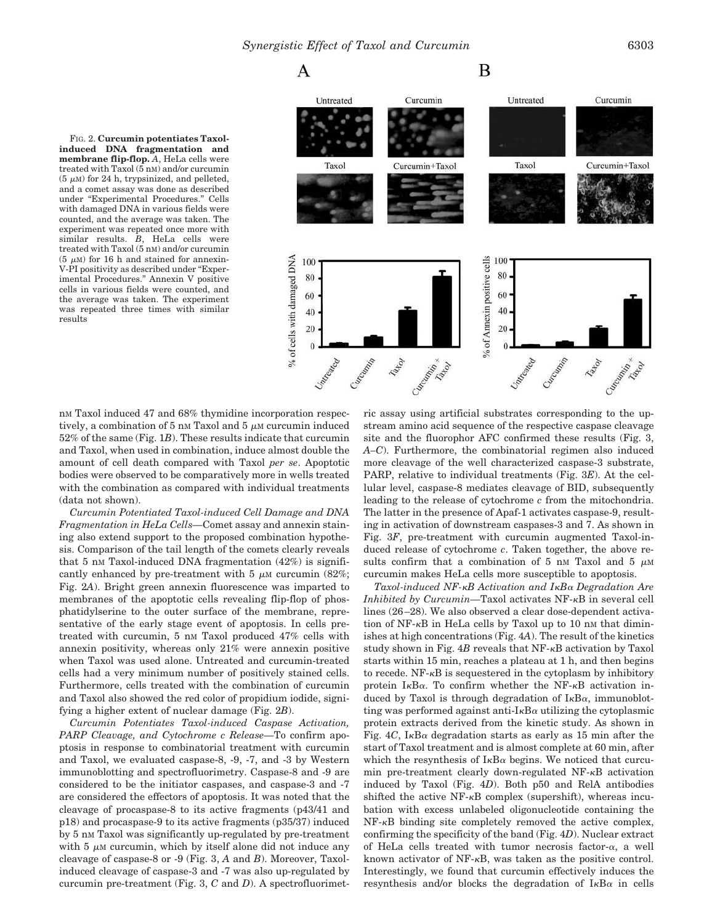FIG. 2. **Curcumin potentiates Taxolinduced DNA fragmentation and membrane flip-flop.** *A*, HeLa cells were treated with Taxol (5 nM) and/or curcumin  $(5 \mu M)$  for 24 h, trypsinized, and pelleted, and a comet assay was done as described under "Experimental Procedures." Cells with damaged DNA in various fields were counted, and the average was taken. The experiment was repeated once more with similar results. *B*, HeLa cells were treated with Taxol (5 nM) and/or curcumin  $(5 \mu M)$  for 16 h and stained for annexin-V-PI positivity as described under "Experimental Procedures." Annexin V positive cells in various fields were counted, and the average was taken. The experiment was repeated three times with similar results



nM Taxol induced 47 and 68% thymidine incorporation respectively, a combination of 5 nm Taxol and 5  $\mu$ M curcumin induced 52% of the same (Fig. 1*B*). These results indicate that curcumin and Taxol, when used in combination, induce almost double the amount of cell death compared with Taxol *per se*. Apoptotic bodies were observed to be comparatively more in wells treated with the combination as compared with individual treatments (data not shown).

*Curcumin Potentiated Taxol-induced Cell Damage and DNA Fragmentation in HeLa Cells—*Comet assay and annexin staining also extend support to the proposed combination hypothesis. Comparison of the tail length of the comets clearly reveals that 5 nm Taxol-induced DNA fragmentation  $(42%)$  is significantly enhanced by pre-treatment with 5  $\mu$ M curcumin (82%; Fig. 2*A*). Bright green annexin fluorescence was imparted to membranes of the apoptotic cells revealing flip-flop of phosphatidylserine to the outer surface of the membrane, representative of the early stage event of apoptosis. In cells pretreated with curcumin, 5 nM Taxol produced 47% cells with annexin positivity, whereas only 21% were annexin positive when Taxol was used alone. Untreated and curcumin-treated cells had a very minimum number of positively stained cells. Furthermore, cells treated with the combination of curcumin and Taxol also showed the red color of propidium iodide, signifying a higher extent of nuclear damage (Fig. 2*B*).

*Curcumin Potentiates Taxol-induced Caspase Activation, PARP Cleavage, and Cytochrome c Release—*To confirm apoptosis in response to combinatorial treatment with curcumin and Taxol, we evaluated caspase-8, -9, -7, and -3 by Western immunoblotting and spectrofluorimetry. Caspase-8 and -9 are considered to be the initiator caspases, and caspase-3 and -7 are considered the effectors of apoptosis. It was noted that the cleavage of procaspase-8 to its active fragments (p43/41 and p18) and procaspase-9 to its active fragments (p35/37) induced by 5 nM Taxol was significantly up-regulated by pre-treatment with  $5 \mu M$  curcumin, which by itself alone did not induce any cleavage of caspase-8 or -9 (Fig. 3, *A* and *B*). Moreover, Taxolinduced cleavage of caspase-3 and -7 was also up-regulated by curcumin pre-treatment (Fig. 3, *C* and *D*). A spectrofluorimetric assay using artificial substrates corresponding to the upstream amino acid sequence of the respective caspase cleavage site and the fluorophor AFC confirmed these results (Fig. 3, *A–C*). Furthermore, the combinatorial regimen also induced more cleavage of the well characterized caspase-3 substrate, PARP, relative to individual treatments (Fig. 3*E*). At the cellular level, caspase-8 mediates cleavage of BID, subsequently leading to the release of cytochrome *c* from the mitochondria. The latter in the presence of Apaf-1 activates caspase-9, resulting in activation of downstream caspases-3 and 7. As shown in Fig. 3*F*, pre-treatment with curcumin augmented Taxol-induced release of cytochrome *c*. Taken together, the above results confirm that a combination of 5 nm Taxol and 5  $\mu$ M curcumin makes HeLa cells more susceptible to apoptosis.

*Taxol-induced NF-B Activation and IB Degradation Are Inhibited by Curcumin*—Taxol activates NF- $\kappa$ B in several cell lines (26–28). We also observed a clear dose-dependent activation of  $NF$ - $\kappa$ B in HeLa cells by Taxol up to 10 nm that diminishes at high concentrations (Fig. 4*A*). The result of the kinetics study shown in Fig.  $4B$  reveals that  $NF - \kappa B$  activation by Taxol starts within 15 min, reaches a plateau at 1 h, and then begins to recede.  $NF - \kappa B$  is sequestered in the cytoplasm by inhibitory protein  $I_{\kappa}B_{\alpha}$ . To confirm whether the NF- $\kappa$ B activation induced by Taxol is through degradation of  $I_{\kappa}B_{\alpha}$ , immunoblotting was performed against anti- $I_{\kappa}B_{\alpha}$  utilizing the cytoplasmic protein extracts derived from the kinetic study. As shown in Fig.  $4C$ , I<sub>K</sub>B $\alpha$  degradation starts as early as 15 min after the start of Taxol treatment and is almost complete at 60 min, after which the resynthesis of  $I_{\kappa}B_{\alpha}$  begins. We noticed that curcumin pre-treatment clearly down-regulated  $NF-\kappa B$  activation induced by Taxol (Fig. 4*D*). Both p50 and RelA antibodies shifted the active  $NF-\kappa B$  complex (supershift), whereas incubation with excess unlabeled oligonucleotide containing the  $NF-\kappa B$  binding site completely removed the active complex, confirming the specificity of the band (Fig. 4*D*). Nuclear extract of HeLa cells treated with tumor necrosis factor- $\alpha$ , a well known activator of  $NF-\kappa B$ , was taken as the positive control. Interestingly, we found that curcumin effectively induces the resynthesis and/or blocks the degradation of  $I_{\kappa}B_{\alpha}$  in cells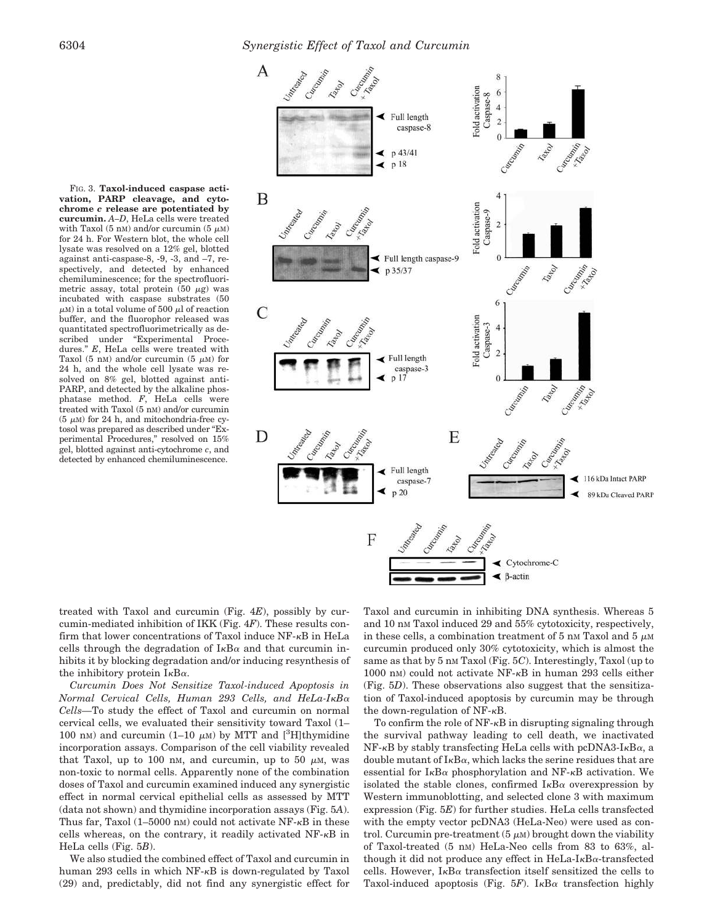



treated with Taxol and curcumin (Fig. 4*E*), possibly by curcumin-mediated inhibition of IKK (Fig. 4*F*). These results confirm that lower concentrations of Taxol induce  $NF - \kappa B$  in HeLa cells through the degradation of  $I_{\kappa}B_{\alpha}$  and that curcumin inhibits it by blocking degradation and/or inducing resynthesis of the inhibitory protein  $I_{\kappa}B_{\alpha}$ .

*Curcumin Does Not Sensitize Taxol-induced Apoptosis in Normal Cervical Cells, Human 293 Cells, and HeLa-IB Cells—*To study the effect of Taxol and curcumin on normal cervical cells, we evaluated their sensitivity toward Taxol (1– 100 nm) and curcumin (1–10  $\mu$ m) by MTT and [<sup>3</sup>H]thymidine incorporation assays. Comparison of the cell viability revealed that Taxol, up to 100 nm, and curcumin, up to 50  $\mu$ m, was non-toxic to normal cells. Apparently none of the combination doses of Taxol and curcumin examined induced any synergistic effect in normal cervical epithelial cells as assessed by MTT (data not shown) and thymidine incorporation assays (Fig. 5*A*). Thus far, Taxol  $(1-5000 \text{ nm})$  could not activate NF- $\kappa$ B in these cells whereas, on the contrary, it readily activated  $NF-\kappa B$  in HeLa cells (Fig. 5*B*).

We also studied the combined effect of Taxol and curcumin in human 293 cells in which  $NF-<sub>K</sub>B$  is down-regulated by Taxol (29) and, predictably, did not find any synergistic effect for

Taxol and curcumin in inhibiting DNA synthesis. Whereas 5 and 10 nm Taxol induced 29 and 55% cytotoxicity, respectively, in these cells, a combination treatment of 5 nm Taxol and 5  $\mu$ M curcumin produced only 30% cytotoxicity, which is almost the same as that by 5 nm Taxol (Fig. 5C). Interestingly, Taxol (up to 1000 nm) could not activate  $NF-\kappa B$  in human 293 cells either (Fig. 5*D*). These observations also suggest that the sensitization of Taxol-induced apoptosis by curcumin may be through the down-regulation of  $NF - \kappa B$ .

To confirm the role of  $NF - \kappa B$  in disrupting signaling through the survival pathway leading to cell death, we inactivated  $NF-\kappa B$  by stably transfecting HeLa cells with pcDNA3-I $\kappa B\alpha$ , a double mutant of  $I_{\kappa}B_{\alpha}$ , which lacks the serine residues that are essential for  $I_{\kappa}B_{\alpha}$  phosphorylation and NF- $_{\kappa}B$  activation. We isolated the stable clones, confirmed  $I<sub>K</sub>B<sub>\alpha</sub>$  overexpression by Western immunoblotting, and selected clone 3 with maximum expression (Fig. 5*E*) for further studies. HeLa cells transfected with the empty vector pcDNA3 (HeLa-Neo) were used as control. Curcumin pre-treatment  $(5 \mu M)$  brought down the viability of Taxol-treated (5 nM) HeLa-Neo cells from 83 to 63%, although it did not produce any effect in  $HeLa-I<sub>K</sub>B<sub>\alpha</sub>$ -transfected cells. However,  $I_{\kappa}B_{\alpha}$  transfection itself sensitized the cells to Taxol-induced apoptosis (Fig.  $5F$ ). I<sub>K</sub>B $\alpha$  transfection highly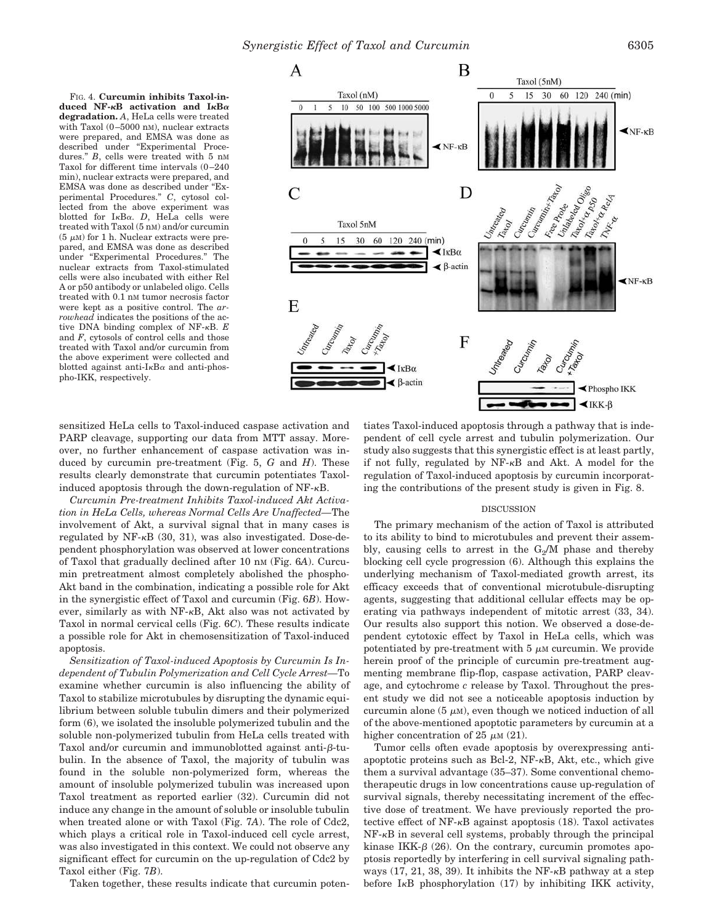*Synergistic Effect of Taxol and Curcumin* 6305

FIG. 4. **Curcumin inhibits Taxol-induced NF-B activation and IB degradation.** *A*, HeLa cells were treated with Taxol (0–5000 nM), nuclear extracts were prepared, and EMSA was done as described under "Experimental Procedures." *B*, cells were treated with 5 nM Taxol for different time intervals (0–240 min), nuclear extracts were prepared, and EMSA was done as described under "Experimental Procedures." *C*, cytosol collected from the above experiment was blotted for  $I \kappa B \alpha$ . *D*, HeLa cells were treated with Taxol (5 nM) and/or curcumin  $(5 \mu M)$  for 1 h. Nuclear extracts were prepared, and EMSA was done as described under "Experimental Procedures." The nuclear extracts from Taxol-stimulated cells were also incubated with either Rel A or p50 antibody or unlabeled oligo. Cells treated with 0.1 nM tumor necrosis factor were kept as a positive control. The *arrowhead* indicates the positions of the active DNA binding complex of NF- $\kappa$ B. *E* and *F*, cytosols of control cells and those treated with Taxol and/or curcumin from the above experiment were collected and blotted against anti-I $\kappa$ B $\alpha$  and anti-phospho-IKK, respectively.



sensitized HeLa cells to Taxol-induced caspase activation and PARP cleavage, supporting our data from MTT assay. Moreover, no further enhancement of caspase activation was induced by curcumin pre-treatment (Fig. 5, *G* and *H*). These results clearly demonstrate that curcumin potentiates Taxolinduced apoptosis through the down-regulation of  $NF - \kappa B$ .

*Curcumin Pre-treatment Inhibits Taxol-induced Akt Activation in HeLa Cells, whereas Normal Cells Are Unaffected—*The involvement of Akt, a survival signal that in many cases is regulated by NF- $\kappa$ B (30, 31), was also investigated. Dose-dependent phosphorylation was observed at lower concentrations of Taxol that gradually declined after 10 nM (Fig. 6*A*). Curcumin pretreatment almost completely abolished the phospho*-*Akt band in the combination, indicating a possible role for Akt in the synergistic effect of Taxol and curcumin (Fig. 6*B*). However, similarly as with  $NF-\kappa B$ , Akt also was not activated by Taxol in normal cervical cells (Fig. 6*C*). These results indicate a possible role for Akt in chemosensitization of Taxol-induced apoptosis.

*Sensitization of Taxol-induced Apoptosis by Curcumin Is Independent of Tubulin Polymerization and Cell Cycle Arrest—*To examine whether curcumin is also influencing the ability of Taxol to stabilize microtubules by disrupting the dynamic equilibrium between soluble tubulin dimers and their polymerized form (6), we isolated the insoluble polymerized tubulin and the soluble non-polymerized tubulin from HeLa cells treated with Taxol and/or curcumin and immunoblotted against anti- $\beta$ -tubulin. In the absence of Taxol, the majority of tubulin was found in the soluble non-polymerized form, whereas the amount of insoluble polymerized tubulin was increased upon Taxol treatment as reported earlier (32). Curcumin did not induce any change in the amount of soluble or insoluble tubulin when treated alone or with Taxol (Fig. 7*A*). The role of Cdc2, which plays a critical role in Taxol-induced cell cycle arrest, was also investigated in this context. We could not observe any significant effect for curcumin on the up-regulation of Cdc2 by Taxol either (Fig. 7*B*).

Taken together, these results indicate that curcumin poten-

tiates Taxol-induced apoptosis through a pathway that is independent of cell cycle arrest and tubulin polymerization. Our study also suggests that this synergistic effect is at least partly, if not fully, regulated by  $NF-<sub>K</sub>B$  and Akt. A model for the regulation of Taxol-induced apoptosis by curcumin incorporating the contributions of the present study is given in Fig. 8.

## DISCUSSION

The primary mechanism of the action of Taxol is attributed to its ability to bind to microtubules and prevent their assembly, causing cells to arrest in the  $G_2/M$  phase and thereby blocking cell cycle progression (6). Although this explains the underlying mechanism of Taxol-mediated growth arrest, its efficacy exceeds that of conventional microtubule-disrupting agents, suggesting that additional cellular effects may be operating via pathways independent of mitotic arrest (33, 34). Our results also support this notion. We observed a dose-dependent cytotoxic effect by Taxol in HeLa cells, which was potentiated by pre-treatment with  $5 \mu M$  curcumin. We provide herein proof of the principle of curcumin pre-treatment augmenting membrane flip-flop, caspase activation, PARP cleavage, and cytochrome *c* release by Taxol. Throughout the present study we did not see a noticeable apoptosis induction by curcumin alone (5  $\mu$ M), even though we noticed induction of all of the above-mentioned apoptotic parameters by curcumin at a higher concentration of 25  $\mu$ M (21).

Tumor cells often evade apoptosis by overexpressing antiapoptotic proteins such as Bcl-2,  $NF-\kappa B$ , Akt, etc., which give them a survival advantage (35–37). Some conventional chemotherapeutic drugs in low concentrations cause up-regulation of survival signals, thereby necessitating increment of the effective dose of treatment. We have previously reported the protective effect of  $NF-\kappa B$  against apoptosis (18). Taxol activates  $NF-\kappa B$  in several cell systems, probably through the principal kinase IKK- $\beta$  (26). On the contrary, curcumin promotes apoptosis reportedly by interfering in cell survival signaling pathways  $(17, 21, 38, 39)$ . It inhibits the NF- $\kappa$ B pathway at a step before  $I<sub>K</sub>B$  phosphorylation (17) by inhibiting IKK activity,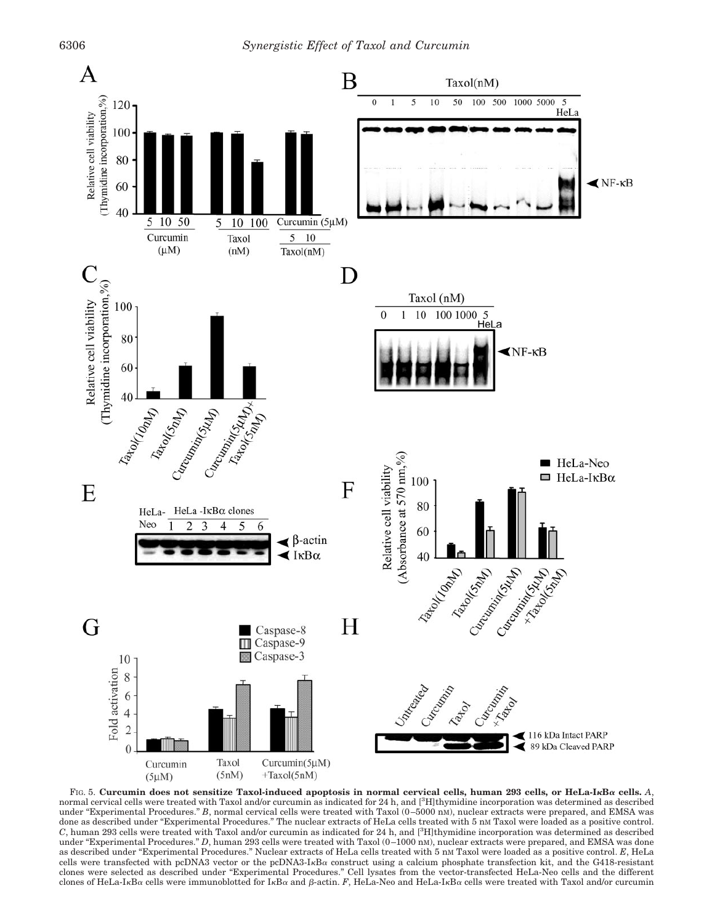

FIG. 5. **Curcumin does not sensitize Taxol-induced apoptosis in normal cervical cells, human 293 cells, or HeLa-IB cells.** *A*, normal cervical cells were treated with Taxol and/or curcumin as indicated for 24 h, and [3H]thymidine incorporation was determined as described under "Experimental Procedures." *B*, normal cervical cells were treated with Taxol (0–5000 nM), nuclear extracts were prepared, and EMSA was done as described under "Experimental Procedures." The nuclear extracts of HeLa cells treated with 5 nM Taxol were loaded as a positive control. *C*, human 293 cells were treated with Taxol and/or curcumin as indicated for 24 h, and [3H]thymidine incorporation was determined as described under "Experimental Procedures." *D*, human 293 cells were treated with Taxol (0-1000 nM), nuclear extracts were prepared, and EMSA was done as described under "Experimental Procedures." Nuclear extracts of HeLa cells treated with 5 nM Taxol were loaded as a positive control. *E*, HeLa cells were transfected with pcDNA3 vector or the pcDNA3-I<sub>KBa</sub> construct using a calcium phosphate transfection kit, and the G418-resistant clones were selected as described under "Experimental Procedures." Cell lysates from the vector-transfected HeLa-Neo cells and the different clones of HeLa-I<sub>K</sub>B<sub>α</sub> cells were immunoblotted for I<sub>K</sub>B<sub>α</sub> and β-actin. *F*, HeLa-Neo and HeLa-I<sub>K</sub>B<sub>α</sub> cells were treated with Taxol and/or curcumin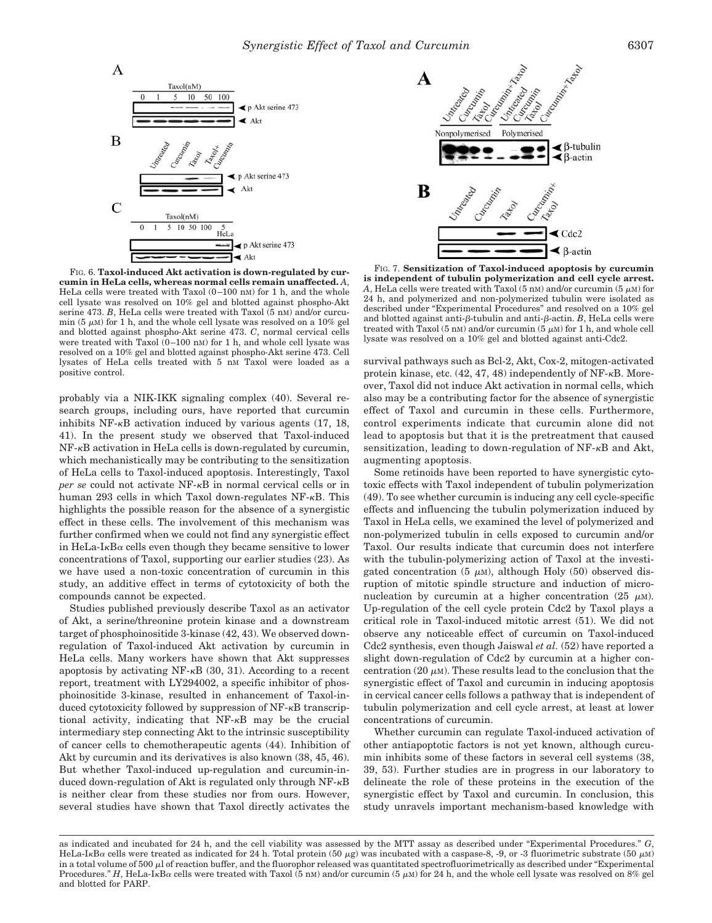

FIG. 6. **Taxol-induced Akt activation is down-regulated by curcumin in HeLa cells, whereas normal cells remain unaffected.** *A*, HeLa cells were treated with Taxol  $(0-100 \text{ nm})$  for 1 h, and the whole cell lysate was resolved on 10% gel and blotted against phospho*-*Akt serine 473. *B*, HeLa cells were treated with Taxol (5 nM) and/or curcumin (5  $\mu$ M) for 1 h, and the whole cell lysate was resolved on a 10% gel and blotted against phospho*-*Akt serine 473. *C*, normal cervical cells were treated with Taxol (0-100 nm) for 1 h, and whole cell lysate was resolved on a 10% gel and blotted against phospho*-*Akt serine 473. Cell lysates of HeLa cells treated with 5 nM Taxol were loaded as a positive control.

probably via a NIK-IKK signaling complex (40). Several research groups, including ours, have reported that curcumin inhibits  $NF-\kappa B$  activation induced by various agents (17, 18, 41). In the present study we observed that Taxol-induced  $NF-\kappa B$  activation in HeLa cells is down-regulated by curcumin, which mechanistically may be contributing to the sensitization of HeLa cells to Taxol-induced apoptosis. Interestingly, Taxol *per se* could not activate NF- $\kappa$ B in normal cervical cells or in human 293 cells in which Taxol down-regulates  $NF-<sub>K</sub>B$ . This highlights the possible reason for the absence of a synergistic effect in these cells. The involvement of this mechanism was further confirmed when we could not find any synergistic effect in HeLa-I<sub>K</sub>B $\alpha$  cells even though they became sensitive to lower concentrations of Taxol, supporting our earlier studies (23). As we have used a non-toxic concentration of curcumin in this study, an additive effect in terms of cytotoxicity of both the compounds cannot be expected.

Studies published previously describe Taxol as an activator of Akt, a serine/threonine protein kinase and a downstream target of phosphoinositide 3-kinase (42, 43). We observed downregulation of Taxol-induced Akt activation by curcumin in HeLa cells. Many workers have shown that Akt suppresses apoptosis by activating  $NF-\kappa B$  (30, 31). According to a recent report, treatment with LY294002, a specific inhibitor of phosphoinositide 3-kinase, resulted in enhancement of Taxol-induced cytotoxicity followed by suppression of  $NF - \kappa B$  transcriptional activity, indicating that  $NF-<sub>K</sub>B$  may be the crucial intermediary step connecting Akt to the intrinsic susceptibility of cancer cells to chemotherapeutic agents (44). Inhibition of Akt by curcumin and its derivatives is also known (38, 45, 46). But whether Taxol-induced up-regulation and curcumin-induced down-regulation of Akt is regulated only through  $NF - \kappa B$ is neither clear from these studies nor from ours. However, several studies have shown that Taxol directly activates the



FIG. 7. **Sensitization of Taxol-induced apoptosis by curcumin is independent of tubulin polymerization and cell cycle arrest.**  $A$ , HeLa cells were treated with Taxol (5 nM) and/or curcumin (5  $\mu$ M) for 24 h, and polymerized and non-polymerized tubulin were isolated as described under "Experimental Procedures" and resolved on a 10% gel and blotted against anti- $\beta$ -tubulin and anti- $\beta$ -actin. *B*, HeLa cells were treated with Taxol  $(5 \text{ nm})$  and/or curcumin  $(5 \mu\text{M})$  for 1 h, and whole cell lysate was resolved on a 10% gel and blotted against anti-Cdc2.

survival pathways such as Bcl-2, Akt, Cox-2, mitogen-activated protein kinase, etc.  $(42, 47, 48)$  independently of NF- $\kappa$ B. Moreover, Taxol did not induce Akt activation in normal cells, which also may be a contributing factor for the absence of synergistic effect of Taxol and curcumin in these cells. Furthermore, control experiments indicate that curcumin alone did not lead to apoptosis but that it is the pretreatment that caused sensitization, leading to down-regulation of  $NF-<sub>K</sub>B$  and Akt, augmenting apoptosis.

Some retinoids have been reported to have synergistic cytotoxic effects with Taxol independent of tubulin polymerization (49). To see whether curcumin is inducing any cell cycle-specific effects and influencing the tubulin polymerization induced by Taxol in HeLa cells, we examined the level of polymerized and non-polymerized tubulin in cells exposed to curcumin and/or Taxol. Our results indicate that curcumin does not interfere with the tubulin-polymerizing action of Taxol at the investigated concentration (5  $\mu$ M), although Holy (50) observed disruption of mitotic spindle structure and induction of micronucleation by curcumin at a higher concentration (25  $\mu$ M). Up-regulation of the cell cycle protein Cdc2 by Taxol plays a critical role in Taxol-induced mitotic arrest (51). We did not observe any noticeable effect of curcumin on Taxol-induced Cdc2 synthesis, even though Jaiswal *et al.* (52) have reported a slight down-regulation of Cdc2 by curcumin at a higher concentration (20  $\mu$ M). These results lead to the conclusion that the synergistic effect of Taxol and curcumin in inducing apoptosis in cervical cancer cells follows a pathway that is independent of tubulin polymerization and cell cycle arrest, at least at lower concentrations of curcumin.

Whether curcumin can regulate Taxol-induced activation of other antiapoptotic factors is not yet known, although curcumin inhibits some of these factors in several cell systems (38, 39, 53). Further studies are in progress in our laboratory to delineate the role of these proteins in the execution of the synergistic effect by Taxol and curcumin. In conclusion, this study unravels important mechanism-based knowledge with

as indicated and incubated for 24 h, and the cell viability was assessed by the MTT assay as described under "Experimental Procedures." *G*, HeLa-IkB $\alpha$  cells were treated as indicated for 24 h. Total protein (50  $\mu$ g) was incubated with a caspase-8, -9, or -3 fluorimetric substrate (50  $\mu$ M) in a total volume of 500  $\mu$ l of reaction buffer, and the fluorophor released was quantitated spectrofluorimetrically as described under "Experimental" Procedures." *H*, HeLa-I<sub>K</sub>B<sub> $\alpha$ </sub> cells were treated with Taxol (5 nM) and/or curcumin (5  $\mu$ M) for 24 h, and the whole cell lysate was resolved on 8% gel and blotted for PARP.